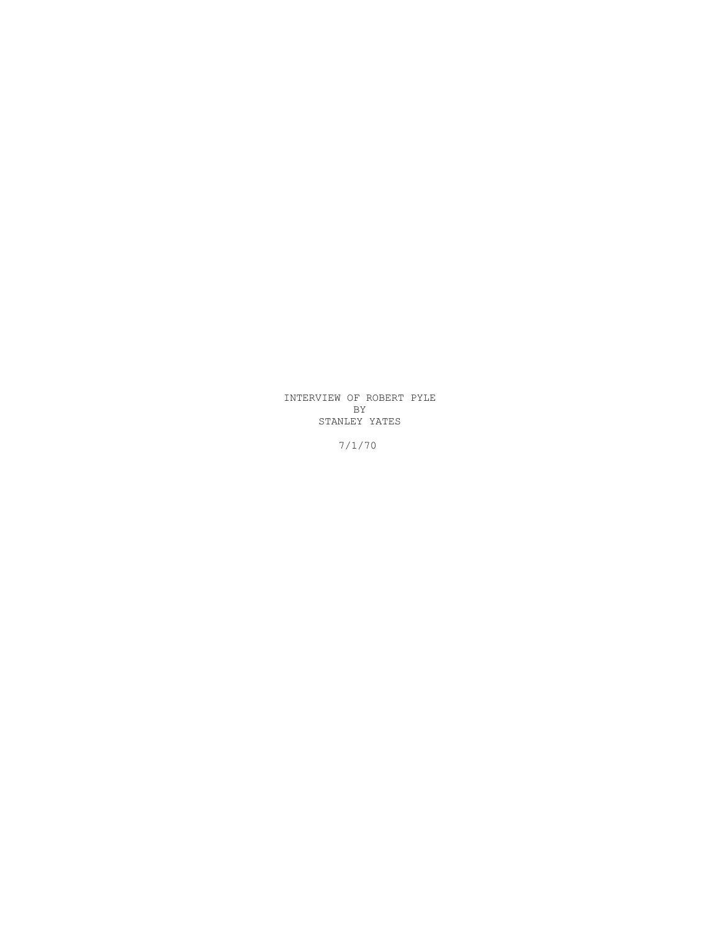INTERVIEW OF ROBERT PYLE BY STANLEY YATES

7/1/70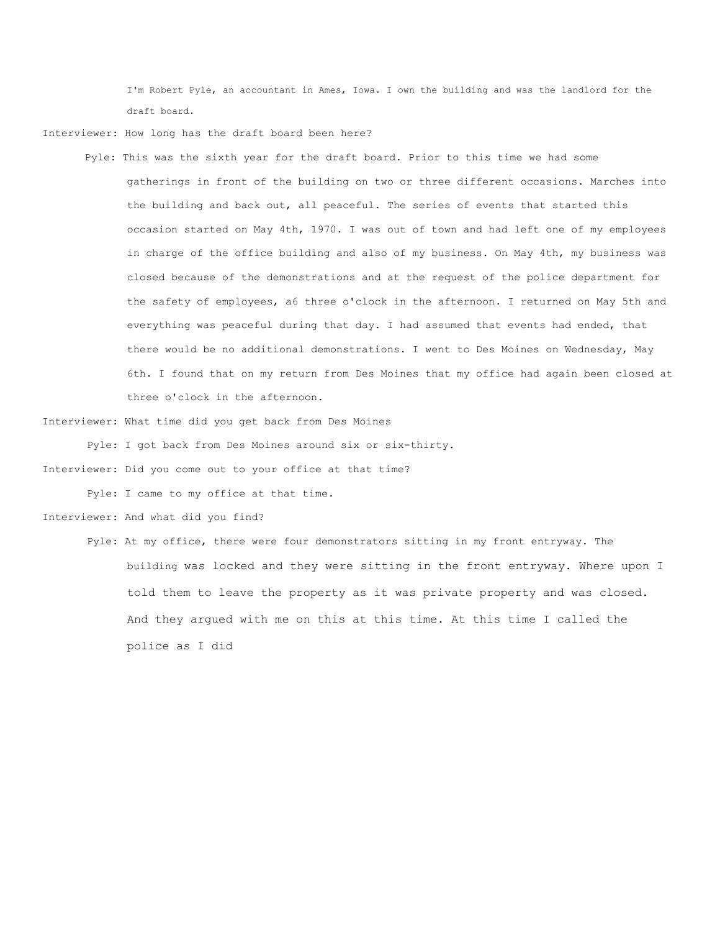I'm Robert Pyle, an accountant in Ames, Iowa. I own the building and was the landlord for the draft board.

Interviewer: How long has the draft board been here?

Pyle: This was the sixth year for the draft board. Prior to this time we had some gatherings in front of the building on two or three different occasions. Marches into the building and back out, all peaceful. The series of events that started this occasion started on May 4th, 1970. I was out of town and had left one of my employees in charge of the office building and also of my business. On May 4th, my business was closed because of the demonstrations and at the request of the police department for the safety of employees, a6 three o'clock in the afternoon. I returned on May 5th and everything was peaceful during that day. I had assumed that events had ended, that there would be no additional demonstrations. I went to Des Moines on Wednesday, May 6th. I found that on my return from Des Moines that my office had again been closed at three o'clock in the afternoon.

Interviewer: What time did you get back from Des Moines

Pyle: I got back from Des Moines around six or six-thirty.

Interviewer: Did you come out to your office at that time?

Pyle: I came to my office at that time.

Interviewer: And what did you find?

 Pyle: At my office, there were four demonstrators sitting in my front entryway. The building was locked and they were sitting in the front entryway. Where upon I told them to leave the property as it was private property and was closed. And they argued with me on this at this time. At this time I called the police as I did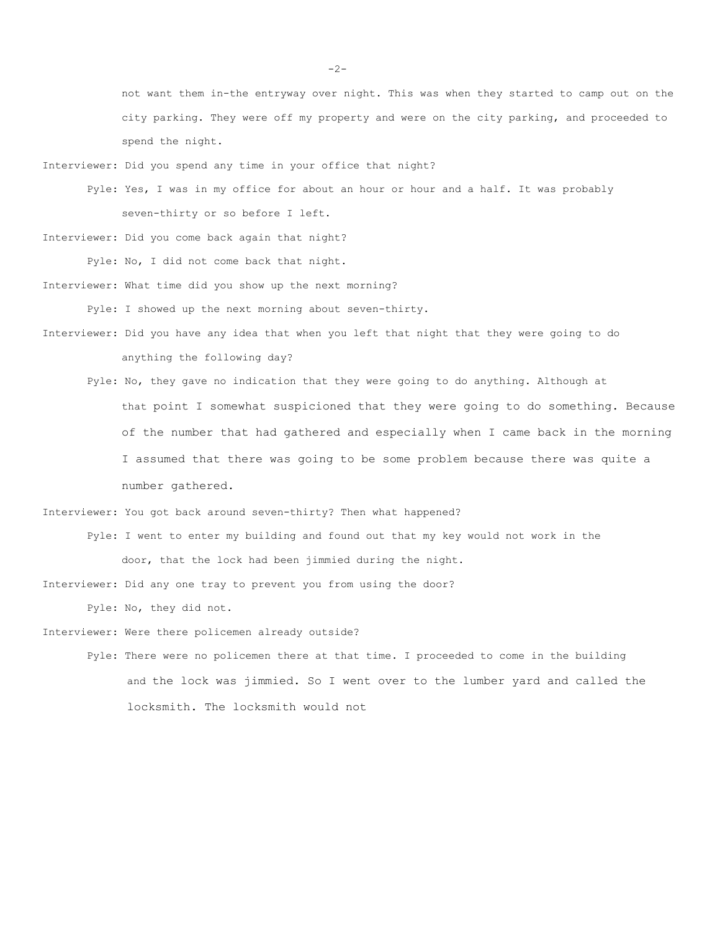not want them in-the entryway over night. This was when they started to camp out on the city parking. They were off my property and were on the city parking, and proceeded to spend the night.

Interviewer: Did you spend any time in your office that night?

 Pyle: Yes, I was in my office for about an hour or hour and a half. It was probably seven-thirty or so before I left.

Interviewer: Did you come back again that night?

Pyle: No, I did not come back that night.

Interviewer: What time did you show up the next morning?

Pyle: I showed up the next morning about seven-thirty.

- Interviewer: Did you have any idea that when you left that night that they were going to do anything the following day?
	- Pyle: No, they gave no indication that they were going to do anything. Although at that point I somewhat suspicioned that they were going to do something. Because of the number that had gathered and especially when I came back in the morning I assumed that there was going to be some problem because there was quite a number gathered.

Interviewer: You got back around seven-thirty? Then what happened?

 Pyle: I went to enter my building and found out that my key would not work in the door, that the lock had been jimmied during the night.

Interviewer: Did any one tray to prevent you from using the door?

Pyle: No, they did not.

Interviewer: Were there policemen already outside?

 Pyle: There were no policemen there at that time. I proceeded to come in the building and the lock was jimmied. So I went over to the lumber yard and called the locksmith. The locksmith would not

-2-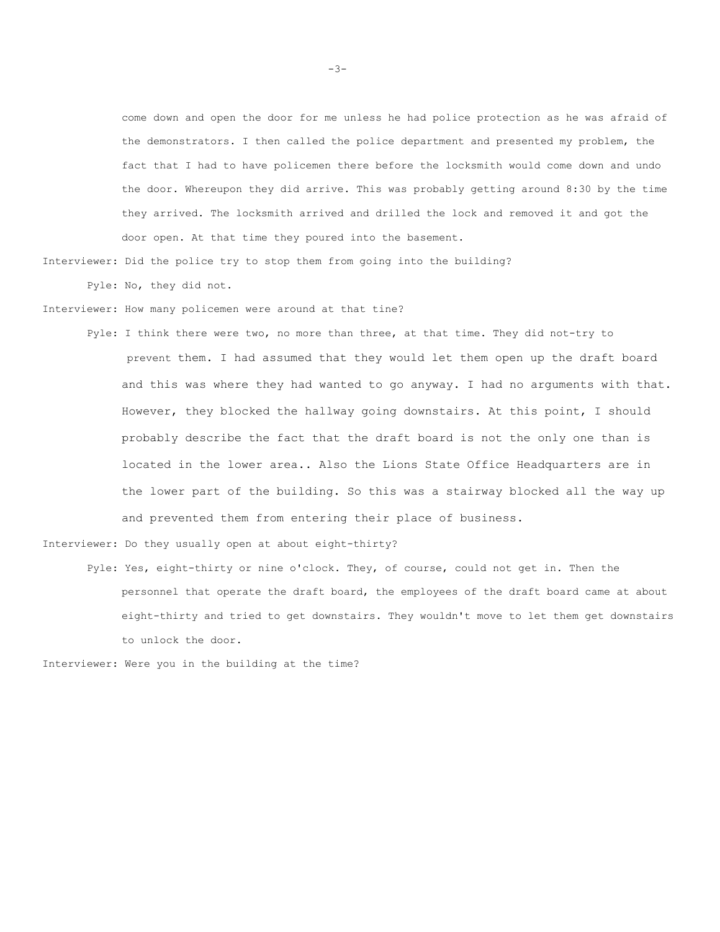come down and open the door for me unless he had police protection as he was afraid of the demonstrators. I then called the police department and presented my problem, the fact that I had to have policemen there before the locksmith would come down and undo the door. Whereupon they did arrive. This was probably getting around 8:30 by the time they arrived. The locksmith arrived and drilled the lock and removed it and got the door open. At that time they poured into the basement.

Interviewer: Did the police try to stop them from going into the building? Pyle: No, they did not.

Interviewer: How many policemen were around at that tine?

 Pyle: I think there were two, no more than three, at that time. They did not-try to prevent them. I had assumed that they would let them open up the draft board and this was where they had wanted to go anyway. I had no arguments with that. However, they blocked the hallway going downstairs. At this point, I should probably describe the fact that the draft board is not the only one than is located in the lower area.. Also the Lions State Office Headquarters are in the lower part of the building. So this was a stairway blocked all the way up and prevented them from entering their place of business.

Interviewer: Do they usually open at about eight-thirty?

 Pyle: Yes, eight-thirty or nine o'clock. They, of course, could not get in. Then the personnel that operate the draft board, the employees of the draft board came at about eight-thirty and tried to get downstairs. They wouldn't move to let them get downstairs to unlock the door.

Interviewer: Were you in the building at the time?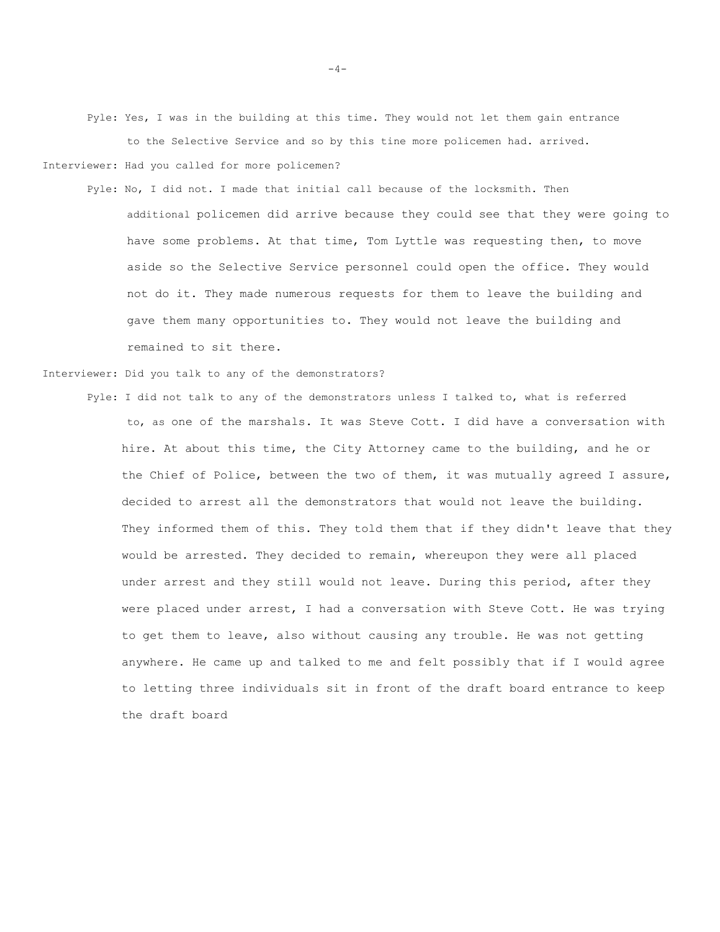Pyle: Yes, I was in the building at this time. They would not let them gain entrance to the Selective Service and so by this tine more policemen had. arrived. Interviewer: Had you called for more policemen?

 Pyle: No, I did not. I made that initial call because of the locksmith. Then additional policemen did arrive because they could see that they were going to have some problems. At that time, Tom Lyttle was requesting then, to move aside so the Selective Service personnel could open the office. They would not do it. They made numerous requests for them to leave the building and gave them many opportunities to. They would not leave the building and remained to sit there.

Interviewer: Did you talk to any of the demonstrators?

 Pyle: I did not talk to any of the demonstrators unless I talked to, what is referred to, as one of the marshals. It was Steve Cott. I did have a conversation with hire. At about this time, the City Attorney came to the building, and he or the Chief of Police, between the two of them, it was mutually agreed I assure, decided to arrest all the demonstrators that would not leave the building. They informed them of this. They told them that if they didn't leave that they would be arrested. They decided to remain, whereupon they were all placed under arrest and they still would not leave. During this period, after they were placed under arrest, I had a conversation with Steve Cott. He was trying to get them to leave, also without causing any trouble. He was not getting anywhere. He came up and talked to me and felt possibly that if I would agree to letting three individuals sit in front of the draft board entrance to keep the draft board

 $-4-$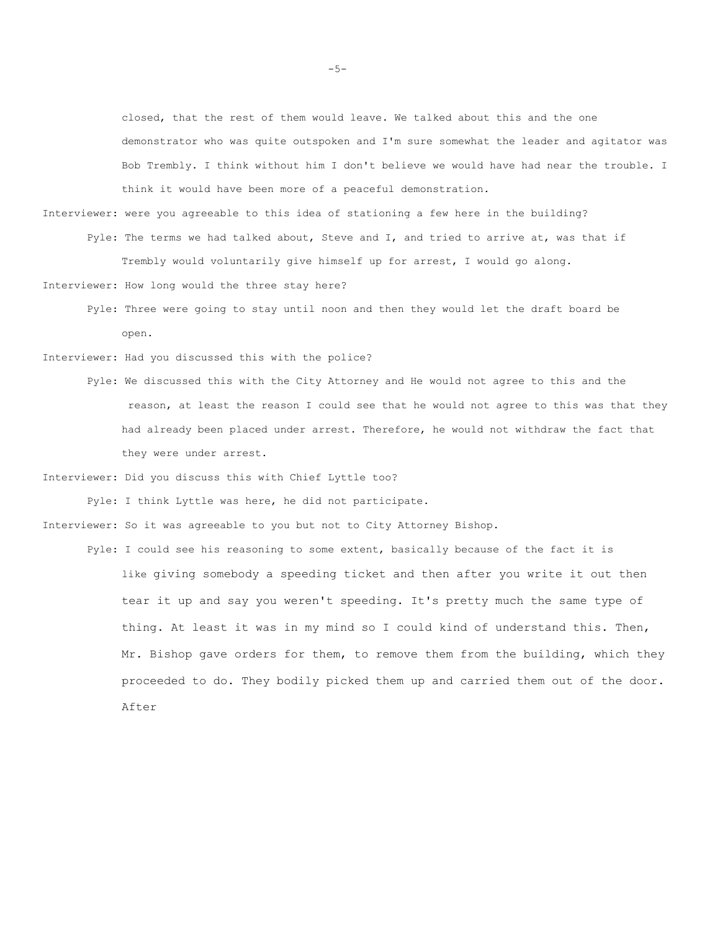closed, that the rest of them would leave. We talked about this and the one demonstrator who was quite outspoken and I'm sure somewhat the leader and agitator was Bob Trembly. I think without him I don't believe we would have had near the trouble. I think it would have been more of a peaceful demonstration.

- Interviewer: were you agreeable to this idea of stationing a few here in the building?
	- Pyle: The terms we had talked about, Steve and I, and tried to arrive at, was that if Trembly would voluntarily give himself up for arrest, I would go along.
- Interviewer: How long would the three stay here?
	- Pyle: Three were going to stay until noon and then they would let the draft board be open.
- Interviewer: Had you discussed this with the police?
	- Pyle: We discussed this with the City Attorney and He would not agree to this and the reason, at least the reason I could see that he would not agree to this was that they had already been placed under arrest. Therefore, he would not withdraw the fact that they were under arrest.

Interviewer: Did you discuss this with Chief Lyttle too?

Pyle: I think Lyttle was here, he did not participate.

Interviewer: So it was agreeable to you but not to City Attorney Bishop.

 Pyle: I could see his reasoning to some extent, basically because of the fact it is like giving somebody a speeding ticket and then after you write it out then tear it up and say you weren't speeding. It's pretty much the same type of thing. At least it was in my mind so I could kind of understand this. Then, Mr. Bishop gave orders for them, to remove them from the building, which they proceeded to do. They bodily picked them up and carried them out of the door. After

 $-5-$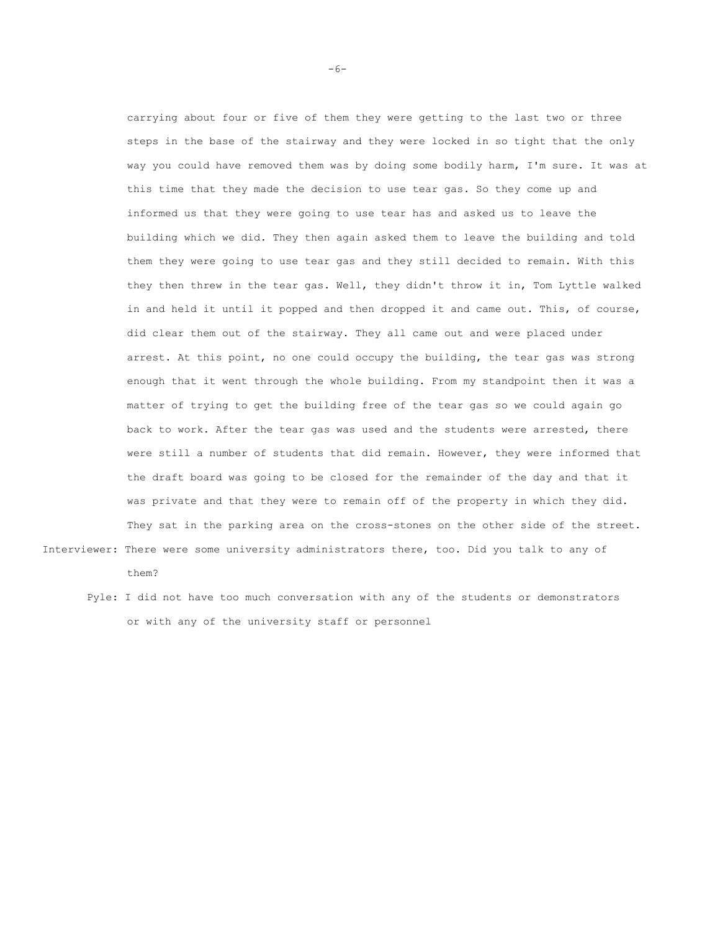carrying about four or five of them they were getting to the last two or three steps in the base of the stairway and they were locked in so tight that the only way you could have removed them was by doing some bodily harm, I'm sure. It was at this time that they made the decision to use tear gas. So they come up and informed us that they were going to use tear has and asked us to leave the building which we did. They then again asked them to leave the building and told them they were going to use tear gas and they still decided to remain. With this they then threw in the tear gas. Well, they didn't throw it in, Tom Lyttle walked in and held it until it popped and then dropped it and came out. This, of course, did clear them out of the stairway. They all came out and were placed under arrest. At this point, no one could occupy the building, the tear gas was strong enough that it went through the whole building. From my standpoint then it was a matter of trying to get the building free of the tear gas so we could again go back to work. After the tear gas was used and the students were arrested, there were still a number of students that did remain. However, they were informed that the draft board was going to be closed for the remainder of the day and that it was private and that they were to remain off of the property in which they did. They sat in the parking area on the cross-stones on the other side of the street.

- Interviewer: There were some university administrators there, too. Did you talk to any of them?
	- Pyle: I did not have too much conversation with any of the students or demonstrators or with any of the university staff or personnel

-6-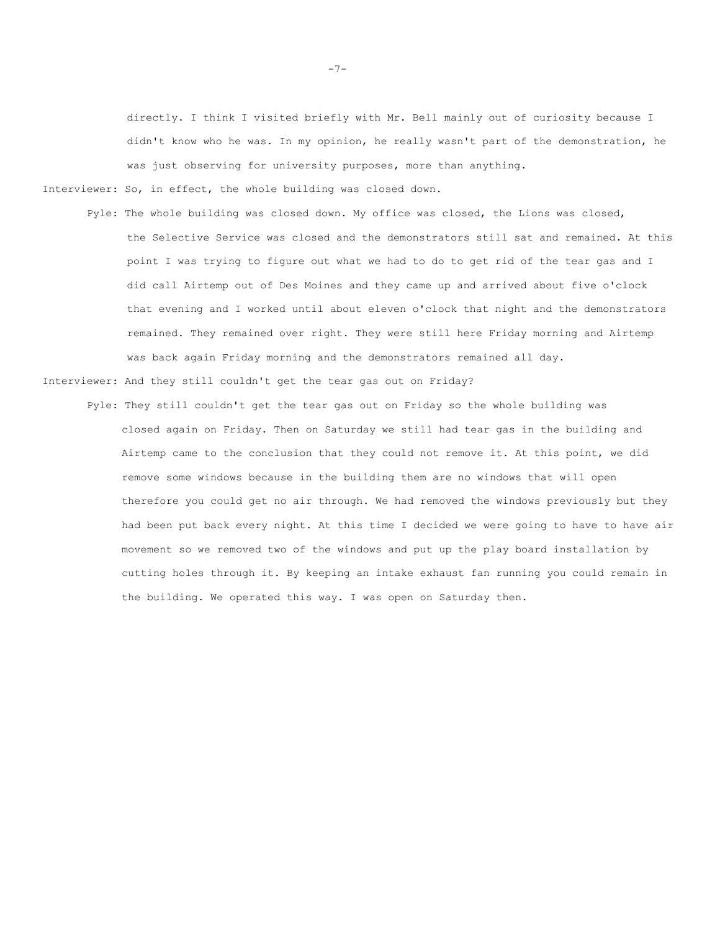directly. I think I visited briefly with Mr. Bell mainly out of curiosity because I didn't know who he was. In my opinion, he really wasn't part of the demonstration, he was just observing for university purposes, more than anything.

Interviewer: So, in effect, the whole building was closed down.

 Pyle: The whole building was closed down. My office was closed, the Lions was closed, the Selective Service was closed and the demonstrators still sat and remained. At this point I was trying to figure out what we had to do to get rid of the tear gas and I did call Airtemp out of Des Moines and they came up and arrived about five o'clock that evening and I worked until about eleven o'clock that night and the demonstrators remained. They remained over right. They were still here Friday morning and Airtemp was back again Friday morning and the demonstrators remained all day.

Interviewer: And they still couldn't get the tear gas out on Friday?

 Pyle: They still couldn't get the tear gas out on Friday so the whole building was closed again on Friday. Then on Saturday we still had tear gas in the building and Airtemp came to the conclusion that they could not remove it. At this point, we did remove some windows because in the building them are no windows that will open therefore you could get no air through. We had removed the windows previously but they had been put back every night. At this time I decided we were going to have to have air movement so we removed two of the windows and put up the play board installation by cutting holes through it. By keeping an intake exhaust fan running you could remain in the building. We operated this way. I was open on Saturday then.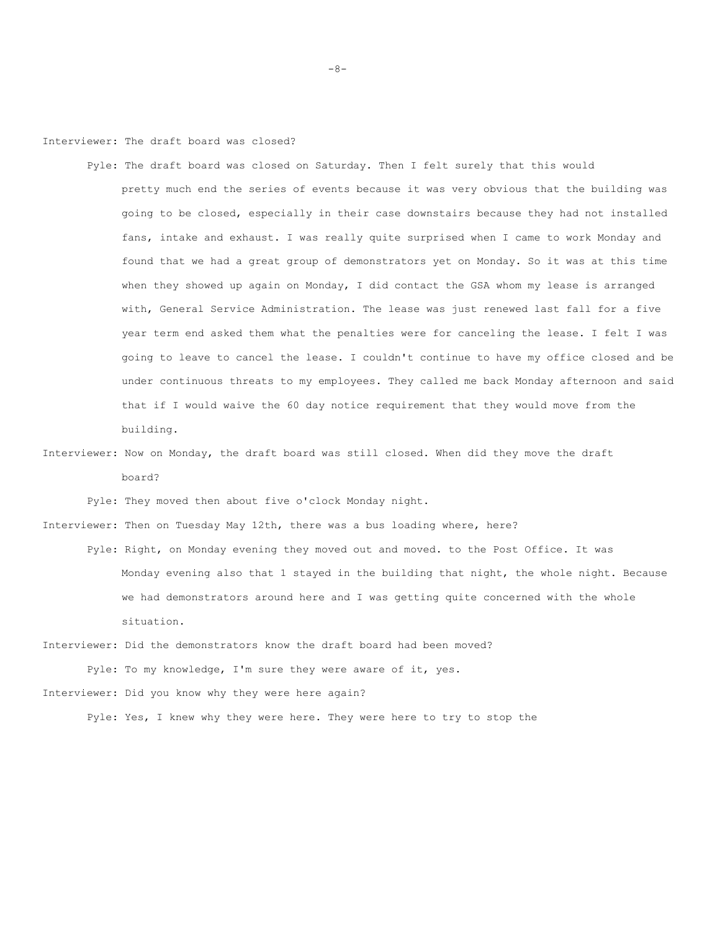Interviewer: The draft board was closed?

- Pyle: The draft board was closed on Saturday. Then I felt surely that this would pretty much end the series of events because it was very obvious that the building was going to be closed, especially in their case downstairs because they had not installed fans, intake and exhaust. I was really quite surprised when I came to work Monday and found that we had a great group of demonstrators yet on Monday. So it was at this time when they showed up again on Monday, I did contact the GSA whom my lease is arranged with, General Service Administration. The lease was just renewed last fall for a five year term end asked them what the penalties were for canceling the lease. I felt I was going to leave to cancel the lease. I couldn't continue to have my office closed and be under continuous threats to my employees. They called me back Monday afternoon and said that if I would waive the 60 day notice requirement that they would move from the building.
- Interviewer: Now on Monday, the draft board was still closed. When did they move the draft board?

Pyle: They moved then about five o'clock Monday night.

Interviewer: Then on Tuesday May 12th, there was a bus loading where, here?

 Pyle: Right, on Monday evening they moved out and moved. to the Post Office. It was Monday evening also that 1 stayed in the building that night, the whole night. Because we had demonstrators around here and I was getting quite concerned with the whole situation.

Interviewer: Did the demonstrators know the draft board had been moved?

Pyle: To my knowledge, I'm sure they were aware of it, yes.

Interviewer: Did you know why they were here again?

Pyle: Yes, I knew why they were here. They were here to try to stop the

-8-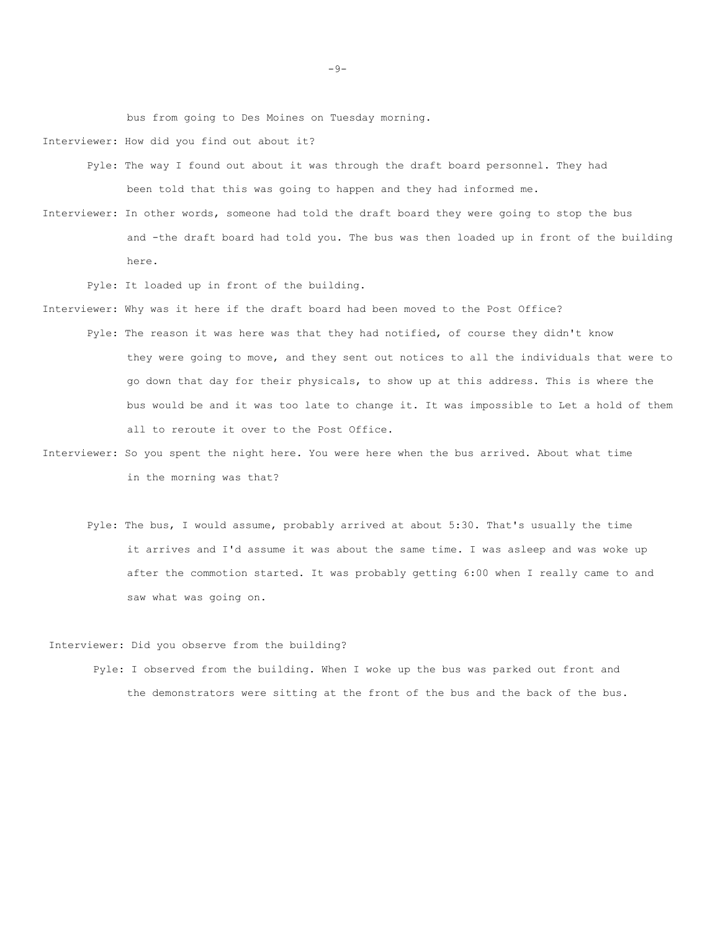bus from going to Des Moines on Tuesday morning.

- Interviewer: How did you find out about it?
	- Pyle: The way I found out about it was through the draft board personnel. They had been told that this was going to happen and they had informed me.
- Interviewer: In other words, someone had told the draft board they were going to stop the bus and -the draft board had told you. The bus was then loaded up in front of the building here.

Pyle: It loaded up in front of the building.

Interviewer: Why was it here if the draft board had been moved to the Post Office?

- Pyle: The reason it was here was that they had notified, of course they didn't know they were going to move, and they sent out notices to all the individuals that were to go down that day for their physicals, to show up at this address. This is where the bus would be and it was too late to change it. It was impossible to Let a hold of them all to reroute it over to the Post Office.
- Interviewer: So you spent the night here. You were here when the bus arrived. About what time in the morning was that?
	- Pyle: The bus, I would assume, probably arrived at about 5:30. That's usually the time it arrives and I'd assume it was about the same time. I was asleep and was woke up after the commotion started. It was probably getting 6:00 when I really came to and saw what was going on.

## Interviewer: Did you observe from the building?

 Pyle: I observed from the building. When I woke up the bus was parked out front and the demonstrators were sitting at the front of the bus and the back of the bus.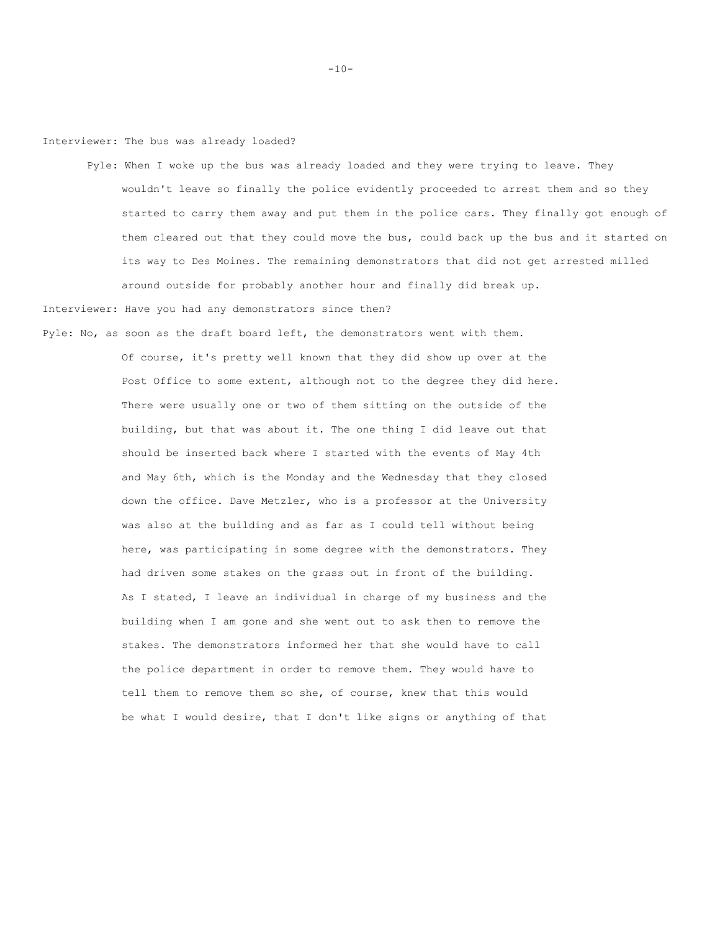Interviewer: The bus was already loaded?

 Pyle: When I woke up the bus was already loaded and they were trying to leave. They wouldn't leave so finally the police evidently proceeded to arrest them and so they started to carry them away and put them in the police cars. They finally got enough of them cleared out that they could move the bus, could back up the bus and it started on its way to Des Moines. The remaining demonstrators that did not get arrested milled around outside for probably another hour and finally did break up.

Interviewer: Have you had any demonstrators since then?

Pyle: No, as soon as the draft board left, the demonstrators went with them.

Of course, it's pretty well known that they did show up over at the Post Office to some extent, although not to the degree they did here. There were usually one or two of them sitting on the outside of the building, but that was about it. The one thing I did leave out that should be inserted back where I started with the events of May 4th and May 6th, which is the Monday and the Wednesday that they closed down the office. Dave Metzler, who is a professor at the University was also at the building and as far as I could tell without being here, was participating in some degree with the demonstrators. They had driven some stakes on the grass out in front of the building. As I stated, I leave an individual in charge of my business and the building when I am gone and she went out to ask then to remove the stakes. The demonstrators informed her that she would have to call the police department in order to remove them. They would have to tell them to remove them so she, of course, knew that this would be what I would desire, that I don't like signs or anything of that

-10-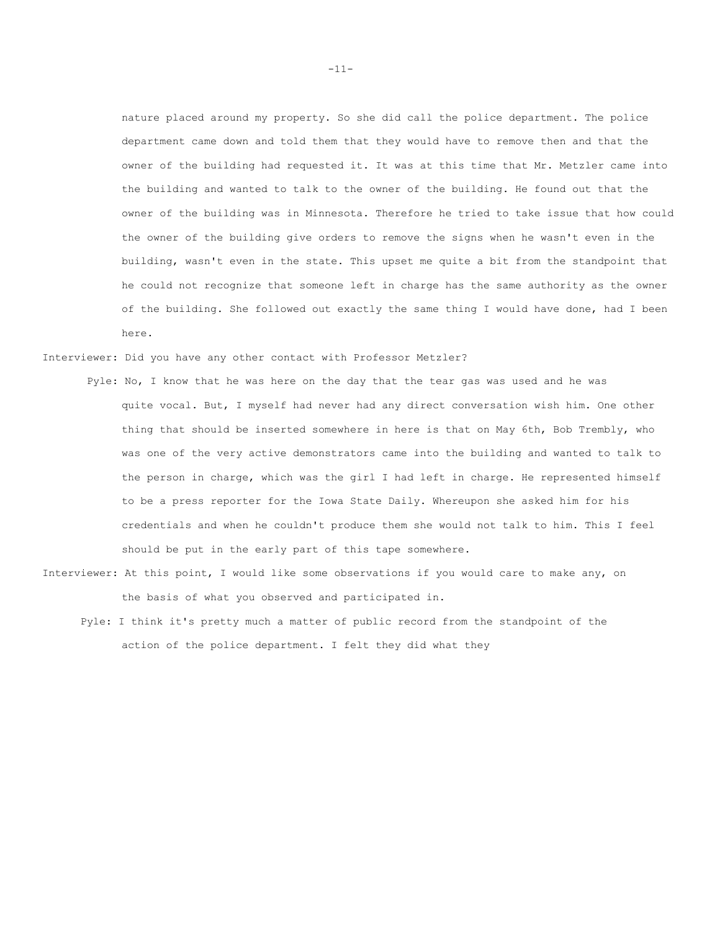nature placed around my property. So she did call the police department. The police department came down and told them that they would have to remove then and that the owner of the building had requested it. It was at this time that Mr. Metzler came into the building and wanted to talk to the owner of the building. He found out that the owner of the building was in Minnesota. Therefore he tried to take issue that how could the owner of the building give orders to remove the signs when he wasn't even in the building, wasn't even in the state. This upset me quite a bit from the standpoint that he could not recognize that someone left in charge has the same authority as the owner of the building. She followed out exactly the same thing I would have done, had I been here.

Interviewer: Did you have any other contact with Professor Metzler?

- Pyle: No, I know that he was here on the day that the tear gas was used and he was quite vocal. But, I myself had never had any direct conversation wish him. One other thing that should be inserted somewhere in here is that on May 6th, Bob Trembly, who was one of the very active demonstrators came into the building and wanted to talk to the person in charge, which was the girl I had left in charge. He represented himself to be a press reporter for the Iowa State Daily. Whereupon she asked him for his credentials and when he couldn't produce them she would not talk to him. This I feel should be put in the early part of this tape somewhere.
- Interviewer: At this point, I would like some observations if you would care to make any, on the basis of what you observed and participated in.

Pyle: I think it's pretty much a matter of public record from the standpoint of the action of the police department. I felt they did what they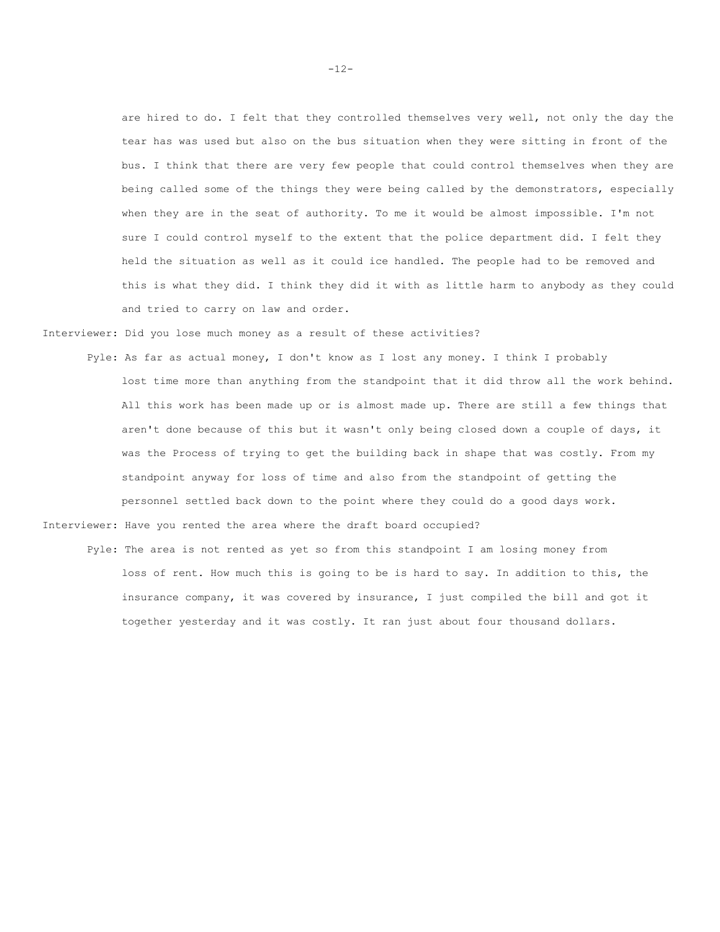are hired to do. I felt that they controlled themselves very well, not only the day the tear has was used but also on the bus situation when they were sitting in front of the bus. I think that there are very few people that could control themselves when they are being called some of the things they were being called by the demonstrators, especially when they are in the seat of authority. To me it would be almost impossible. I'm not sure I could control myself to the extent that the police department did. I felt they held the situation as well as it could ice handled. The people had to be removed and this is what they did. I think they did it with as little harm to anybody as they could and tried to carry on law and order.

Interviewer: Did you lose much money as a result of these activities?

- Pyle: As far as actual money, I don't know as I lost any money. I think I probably lost time more than anything from the standpoint that it did throw all the work behind. All this work has been made up or is almost made up. There are still a few things that aren't done because of this but it wasn't only being closed down a couple of days, it was the Process of trying to get the building back in shape that was costly. From my standpoint anyway for loss of time and also from the standpoint of getting the personnel settled back down to the point where they could do a good days work. Interviewer: Have you rented the area where the draft board occupied?
	- Pyle: The area is not rented as yet so from this standpoint I am losing money from loss of rent. How much this is going to be is hard to say. In addition to this, the insurance company, it was covered by insurance, I just compiled the bill and got it together yesterday and it was costly. It ran just about four thousand dollars.